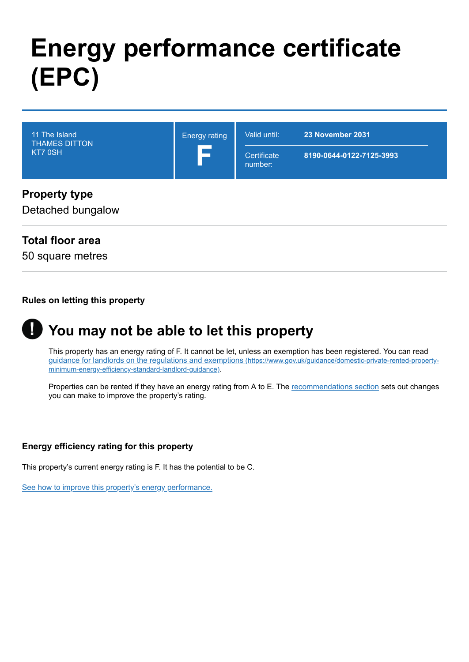# **Energy performance certificate (EPC)**

| 11 The Island<br><b>THAMES DITTON</b><br>KT7 0SH | <b>Energy rating</b><br>$\equiv$ | Valid until:<br>Certificate<br>number: | 23 November 2031<br>8190-0644-0122-7125-3993 |
|--------------------------------------------------|----------------------------------|----------------------------------------|----------------------------------------------|
| <b>Property type</b><br>Detached bungalow        |                                  |                                        |                                              |

# **Total floor area**

50 square metres

#### **Rules on letting this property**

#### **You may not be able to let this property !**

This property has an energy rating of F. It cannot be let, unless an exemption has been registered. You can read [guidance for landlords on the regulations and exemptions](https://www.gov.uk/guidance/domestic-private-rented-property-minimum-energy-efficiency-standard-landlord-guidance) (https://www.gov.uk/guidance/domestic-private-rented-propertyminimum-energy-efficiency-standard-landlord-guidance).

Properties can be rented if they have an energy rating from A to E. The [recommendations section](#page-3-0) sets out changes you can make to improve the property's rating.

#### **Energy efficiency rating for this property**

This property's current energy rating is F. It has the potential to be C.

[See how to improve this property's energy performance.](#page-3-0)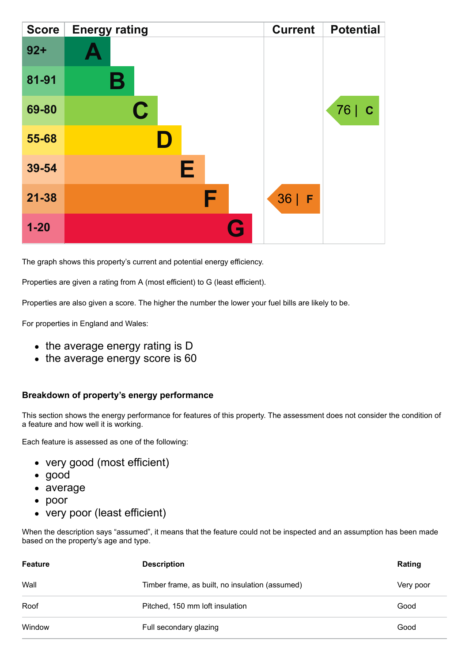| <b>Score</b> | <b>Energy rating</b> | <b>Current</b> | <b>Potential</b>    |
|--------------|----------------------|----------------|---------------------|
| $92 +$       |                      |                |                     |
| 81-91        | Β                    |                |                     |
| 69-80        | C                    |                | 76  <br>$\mathbf C$ |
| 55-68        |                      |                |                     |
| 39-54        | Е                    |                |                     |
| $21 - 38$    | F                    | $36$   F       |                     |
| $1 - 20$     |                      | G              |                     |

The graph shows this property's current and potential energy efficiency.

Properties are given a rating from A (most efficient) to G (least efficient).

Properties are also given a score. The higher the number the lower your fuel bills are likely to be.

For properties in England and Wales:

- the average energy rating is D
- the average energy score is 60

#### **Breakdown of property's energy performance**

This section shows the energy performance for features of this property. The assessment does not consider the condition of a feature and how well it is working.

Each feature is assessed as one of the following:

- very good (most efficient)
- good
- average
- poor
- very poor (least efficient)

When the description says "assumed", it means that the feature could not be inspected and an assumption has been made based on the property's age and type.

| <b>Feature</b> | <b>Description</b>                              | Rating    |
|----------------|-------------------------------------------------|-----------|
| Wall           | Timber frame, as built, no insulation (assumed) | Very poor |
| Roof           | Pitched, 150 mm loft insulation                 | Good      |
| Window         | Full secondary glazing                          | Good      |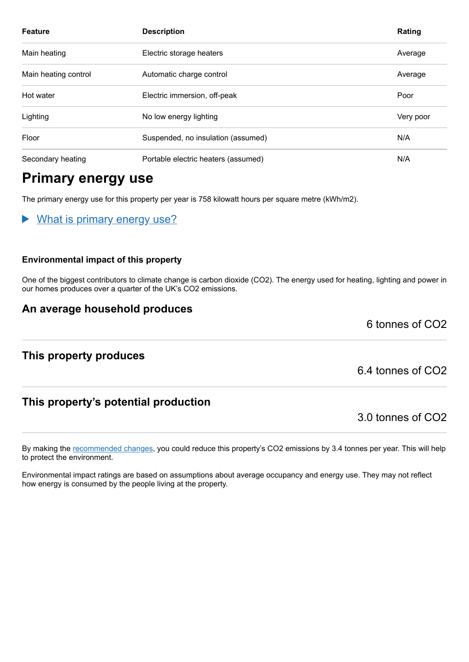| <b>Feature</b>       | <b>Description</b>                  | Rating    |
|----------------------|-------------------------------------|-----------|
| Main heating         | Electric storage heaters            | Average   |
| Main heating control | Automatic charge control            | Average   |
| Hot water            | Electric immersion, off-peak        | Poor      |
| Lighting             | No low energy lighting              | Very poor |
| Floor                | Suspended, no insulation (assumed)  | N/A       |
| Secondary heating    | Portable electric heaters (assumed) | N/A       |

# **Primary energy use**

The primary energy use for this property per year is 758 kilowatt hours per square metre (kWh/m2).

What is primary energy use?  $\blacktriangleright$ 

#### **Environmental impact of this property**

One of the biggest contributors to climate change is carbon dioxide (CO2). The energy used for heating, lighting and power in our homes produces over a quarter of the UK's CO2 emissions.

## **An average household produces**

6 tonnes of CO2

## **This property produces**

# **This property's potential production**

By making the [recommended changes,](#page-3-0) you could reduce this property's CO2 emissions by 3.4 tonnes per year. This will help to protect the environment.

Environmental impact ratings are based on assumptions about average occupancy and energy use. They may not reflect how energy is consumed by the people living at the property.

6.4 tonnes of CO2

3.0 tonnes of CO2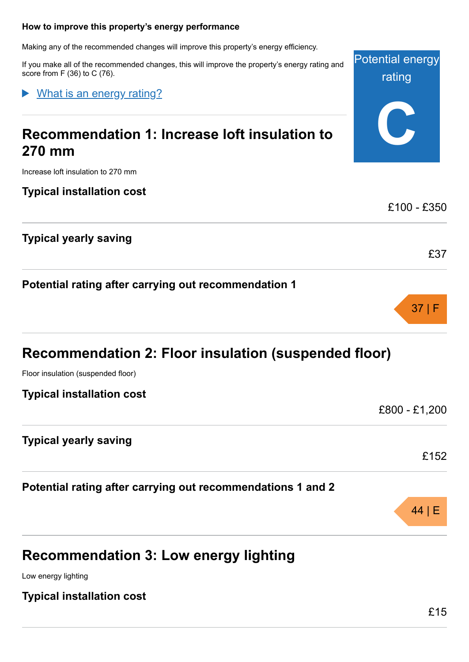#### <span id="page-3-0"></span>**How to improve this property's energy performance**

Making any of the recommended changes will improve this property's energy efficiency.

If you make all of the recommended changes, this will improve the property's energy rating and score from F (36) to C (76).

What is an energy rating?

# **Recommendation 1: Increase loft insulation to 270 mm**

Increase loft insulation to 270 mm

**Typical installation cost**

**Typical yearly saving**

**Potential rating after carrying out recommendation 1**

| Recommendation 2: Floor insulation (suspended floor) |  |
|------------------------------------------------------|--|
| $ -$                                                 |  |

Floor insulation (suspended floor)

**Typical installation cost**

**Typical yearly saving**

**Potential rating after carrying out recommendations 1 and 2**

# **Recommendation 3: Low energy lighting**

Low energy lighting

**Typical installation cost**

Potential energy

rating

**C**

£100 - £350

£37

37 | F

£800 - £1,200

£152

44 | E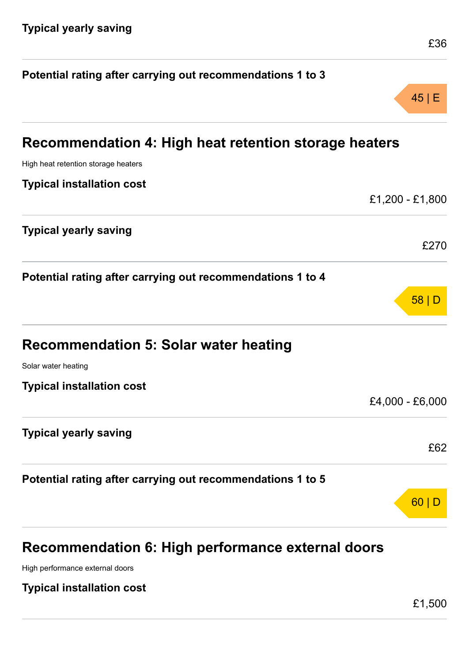| Potential rating after carrying out recommendations 1 to 3 |                 |
|------------------------------------------------------------|-----------------|
|                                                            | 45 E            |
| Recommendation 4: High heat retention storage heaters      |                 |
| High heat retention storage heaters                        |                 |
| <b>Typical installation cost</b>                           |                 |
|                                                            | £1,200 - £1,800 |
| <b>Typical yearly saving</b>                               |                 |
|                                                            | £270            |
| Potential rating after carrying out recommendations 1 to 4 |                 |
|                                                            | 58 D            |
| <b>Recommendation 5: Solar water heating</b>               |                 |
| Solar water heating                                        |                 |
| <b>Typical installation cost</b>                           |                 |
|                                                            | £4,000 - £6,000 |
| <b>Typical yearly saving</b>                               |                 |
|                                                            | £62             |
| Potential rating after carrying out recommendations 1 to 5 |                 |
|                                                            | 60              |
|                                                            |                 |
|                                                            |                 |

# **Recommendation 6: High performance external doors**

High performance external doors

**Typical installation cost**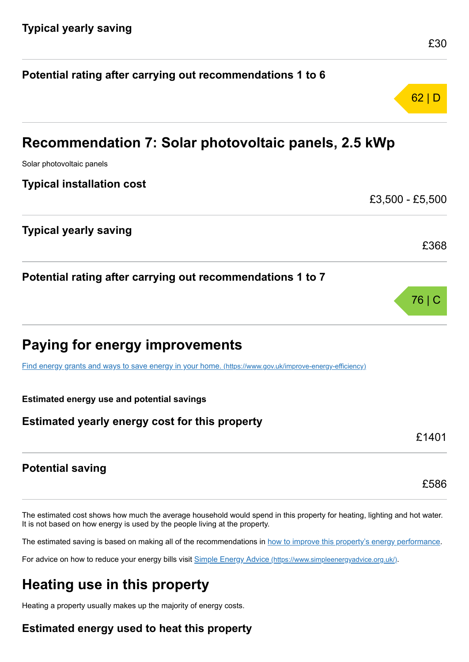|                                                                                                         | 62 D            |
|---------------------------------------------------------------------------------------------------------|-----------------|
| Recommendation 7: Solar photovoltaic panels, 2.5 kWp                                                    |                 |
| Solar photovoltaic panels                                                                               |                 |
| <b>Typical installation cost</b>                                                                        |                 |
|                                                                                                         | £3,500 - £5,500 |
| <b>Typical yearly saving</b>                                                                            |                 |
|                                                                                                         | £368            |
| Potential rating after carrying out recommendations 1 to 7                                              |                 |
|                                                                                                         | 76   C          |
| <b>Paying for energy improvements</b>                                                                   |                 |
| Find energy grants and ways to save energy in your home. (https://www.gov.uk/improve-energy-efficiency) |                 |
| <b>Estimated energy use and potential savings</b>                                                       |                 |
| Estimated yearly energy cost for this property                                                          |                 |
|                                                                                                         | £1401           |
| <b>Potential saving</b>                                                                                 |                 |

**Potential rating after carrying out recommendations 1 to 6**

The estimated cost shows how much the average household would spend in this property for heating, lighting and hot water. It is not based on how energy is used by the people living at the property.

The estimated saving is based on making all of the recommendations in [how to improve this property's energy performance.](#page-3-0)

For advice on how to reduce your energy bills visit Simple Energy Advice [\(https://www.simpleenergyadvice.org.uk/\)](https://www.simpleenergyadvice.org.uk/).

# **Heating use in this property**

Heating a property usually makes up the majority of energy costs.

# **Estimated energy used to heat this property**

£586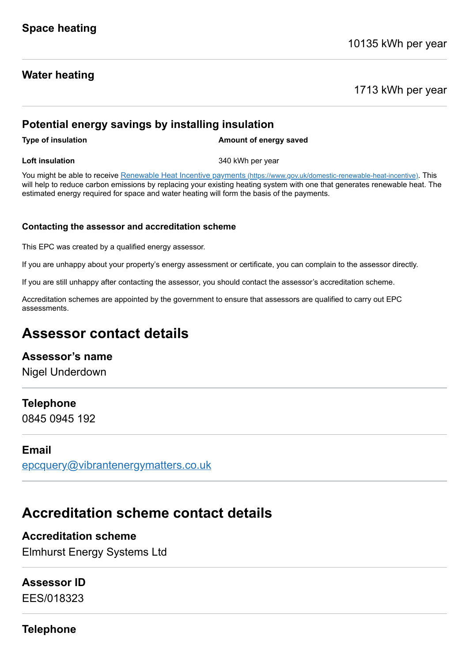## **Water heating**

1713 kWh per year

## **Potential energy savings by installing insulation**

**Type of insulation Amount of energy saved** 

**Loft insulation** 340 kWh per year

You might be able to receive Renewable Heat Incentive payments [\(https://www.gov.uk/domestic-renewable-heat-incentive\)](https://www.gov.uk/domestic-renewable-heat-incentive). This will help to reduce carbon emissions by replacing your existing heating system with one that generates renewable heat. The estimated energy required for space and water heating will form the basis of the payments.

#### **Contacting the assessor and accreditation scheme**

This EPC was created by a qualified energy assessor.

If you are unhappy about your property's energy assessment or certificate, you can complain to the assessor directly.

If you are still unhappy after contacting the assessor, you should contact the assessor's accreditation scheme.

Accreditation schemes are appointed by the government to ensure that assessors are qualified to carry out EPC assessments.

# **Assessor contact details**

## **Assessor's name**

Nigel Underdown

## **Telephone**

0845 0945 192

## **Email**

[epcquery@vibrantenergymatters.co.uk](mailto:epcquery@vibrantenergymatters.co.uk)

# **Accreditation scheme contact details**

# **Accreditation scheme**

Elmhurst Energy Systems Ltd

# **Assessor ID**

EES/018323

**Telephone**